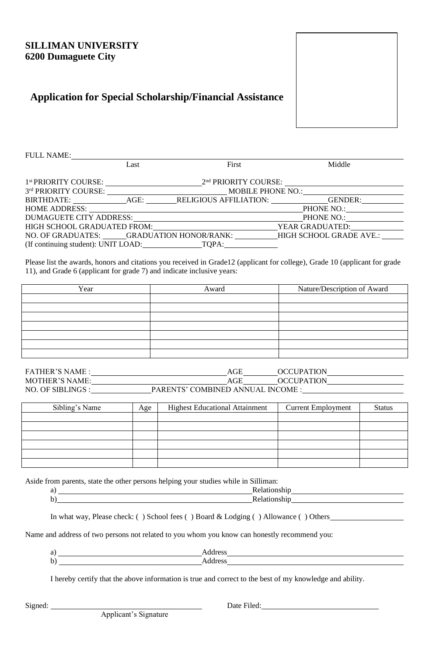## **SILLIMAN UNIVERSITY 6200 Dumaguete City**

# **Application for Special Scholarship/Financial Assistance**



| <b>FULL NAME:</b>                         |      |                                                                   |                                                                  |
|-------------------------------------------|------|-------------------------------------------------------------------|------------------------------------------------------------------|
|                                           | Last | First                                                             | Middle                                                           |
|                                           |      |                                                                   |                                                                  |
|                                           |      | 1 <sup>st</sup> PRIORITY COURSE: 2 <sup>nd</sup> PRIORITY COURSE: |                                                                  |
|                                           |      | 3rd PRIORITY COURSE: MOBILE PHONE NO.:                            |                                                                  |
|                                           |      |                                                                   | BIRTHDATE: AGE: RELIGIOUS AFFILIATION: GENDER:                   |
|                                           |      | HOME ADDRESS:                                                     | PHONE NO.:                                                       |
|                                           |      |                                                                   | DUMAGUETE CITY ADDRESS: PHONE NO.: PHONE NO.:                    |
|                                           |      |                                                                   | HIGH SCHOOL GRADUATED FROM: YEAR GRADUATED:                      |
|                                           |      |                                                                   | NO. OF GRADUATES: GRADUATION HONOR/RANK: HIGH SCHOOL GRADE AVE.: |
| (If continuing student): UNIT LOAD: TQPA: |      |                                                                   |                                                                  |

Please list the awards, honors and citations you received in Grade12 (applicant for college), Grade 10 (applicant for grade 11), and Grade 6 (applicant for grade 7) and indicate inclusive years:

| Year | Award | Nature/Description of Award |
|------|-------|-----------------------------|
|      |       |                             |
|      |       |                             |
|      |       |                             |
|      |       |                             |
|      |       |                             |
|      |       |                             |
|      |       |                             |

| <b>FATHER'S NAME:</b> | AGE                              | <b>OCCUPATION</b> |  |
|-----------------------|----------------------------------|-------------------|--|
| MOTHER'S NAME:        | AGE                              | <b>OCCUPATION</b> |  |
| NO. OF SIBLINGS :     | PARENTS' COMBINED ANNUAL INCOME: |                   |  |

| Sibling's Name | Age | <b>Highest Educational Attainment</b> | <b>Current Employment</b> | <b>Status</b> |
|----------------|-----|---------------------------------------|---------------------------|---------------|
|                |     |                                       |                           |               |
|                |     |                                       |                           |               |
|                |     |                                       |                           |               |
|                |     |                                       |                           |               |
|                |     |                                       |                           |               |
|                |     |                                       |                           |               |

Aside from parents, state the other persons helping your studies while in Silliman:

| . |
|---|

In what way, Please check: () School fees () Board & Lodging () Allowance () Others

Name and address of two persons not related to you whom you know can honestly recommend you:

I hereby certify that the above information is true and correct to the best of my knowledge and ability.

Signed: Date Filed: